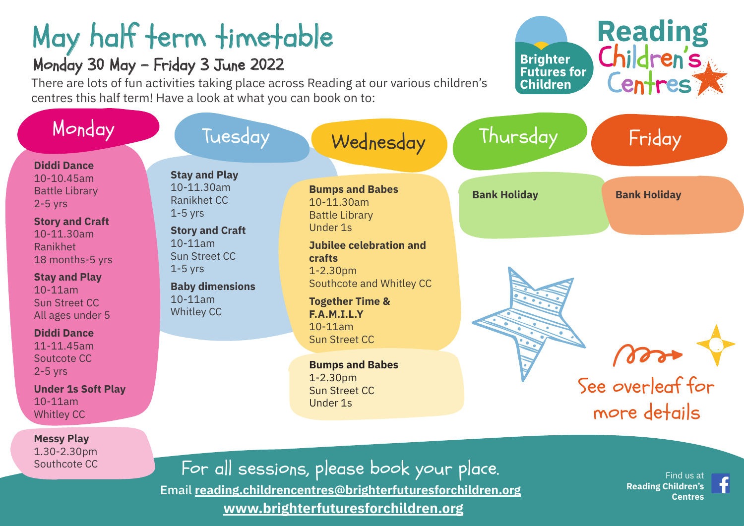# May half term timetable

#### Monday 30 May - Friday 3 June 2022

Southcote CC

There are lots of fun activities taking place across Reading at our various children's centres this half term! Have a look at what you can book on to:



For all sessions, please book your place. Email **[reading.childrencentres@brighterfuturesforchildren.org](mailto:reading.childrencentres%40brighterfuturesforchildren.org?subject=) [www.brighterfuturesforchildren.org](http://www.brighterfuturesforchildren.org)**

 Find us at  **[Reading Children's](https://www.facebook.com/Readingchildrenscentres)  [Centres](https://www.facebook.com/Readingchildrenscentres)**

**Reading** 

Children's

**Centres** 

**Brighter Futures for** 

**Children**